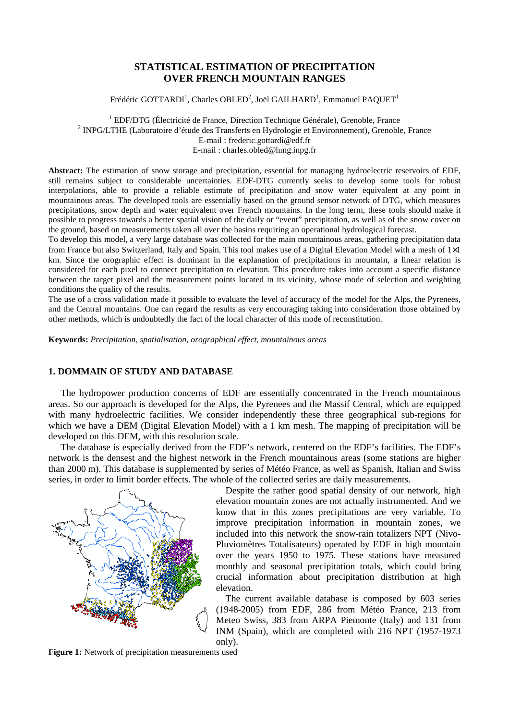# **STATISTICAL ESTIMATION OF PRECIPITATION OVER FRENCH MOUNTAIN RANGES**

Frédéric GOTTARDI<sup>1</sup>, Charles OBLED<sup>2</sup>, Joël GAILHARD<sup>1</sup>, Emmanuel PAQUET<sup>1</sup>

<sup>1</sup> EDF/DTG (Électricité de France, Direction Technique Générale), Grenoble, France <sup>2</sup> INPG/LTHE (Laboratoire d'étude des Transferts en Hydrologie et Environnement), Grenoble, France E-mail : frederic.gottardi@edf.fr E-mail : charles.obled@hmg.inpg.fr

**Abstract:** The estimation of snow storage and precipitation, essential for managing hydroelectric reservoirs of EDF, still remains subject to considerable uncertainties. EDF-DTG currently seeks to develop some tools for robust interpolations, able to provide a reliable estimate of precipitation and snow water equivalent at any point in mountainous areas. The developed tools are essentially based on the ground sensor network of DTG, which measures precipitations, snow depth and water equivalent over French mountains. In the long term, these tools should make it possible to progress towards a better spatial vision of the daily or "event" precipitation, as well as of the snow cover on the ground, based on measurements taken all over the basins requiring an operational hydrological forecast.

To develop this model, a very large database was collected for the main mountainous areas, gathering precipitation data from France but also Switzerland, Italy and Spain. This tool makes use of a Digital Elevation Model with a mesh of  $1\times1$ km. Since the orographic effect is dominant in the explanation of precipitations in mountain, a linear relation is considered for each pixel to connect precipitation to elevation. This procedure takes into account a specific distance between the target pixel and the measurement points located in its vicinity, whose mode of selection and weighting conditions the quality of the results.

The use of a cross validation made it possible to evaluate the level of accuracy of the model for the Alps, the Pyrenees, and the Central mountains. One can regard the results as very encouraging taking into consideration those obtained by other methods, which is undoubtedly the fact of the local character of this mode of reconstitution.

**Keywords:** *Precipitation, spatialisation, orographical effect, mountainous areas* 

## **1. DOMMAIN OF STUDY AND DATABASE**

The hydropower production concerns of EDF are essentially concentrated in the French mountainous areas. So our approach is developed for the Alps, the Pyrenees and the Massif Central, which are equipped with many hydroelectric facilities. We consider independently these three geographical sub-regions for which we have a DEM (Digital Elevation Model) with a 1 km mesh. The mapping of precipitation will be developed on this DEM, with this resolution scale.

The database is especially derived from the EDF's network, centered on the EDF's facilities. The EDF's network is the densest and the highest network in the French mountainous areas (some stations are higher than 2000 m). This database is supplemented by series of Météo France, as well as Spanish, Italian and Swiss series, in order to limit border effects. The whole of the collected series are daily measurements.



Despite the rather good spatial density of our network, high elevation mountain zones are not actually instrumented. And we know that in this zones precipitations are very variable. To improve precipitation information in mountain zones, we included into this network the snow-rain totalizers NPT (Nivo-Pluviomètres Totalisateurs) operated by EDF in high mountain over the years 1950 to 1975. These stations have measured monthly and seasonal precipitation totals, which could bring crucial information about precipitation distribution at high elevation.

The current available database is composed by 603 series (1948-2005) from EDF, 286 from Météo France, 213 from Meteo Swiss, 383 from ARPA Piemonte (Italy) and 131 from INM (Spain), which are completed with 216 NPT (1957-1973 only).

**Figure 1:** Network of precipitation measurements used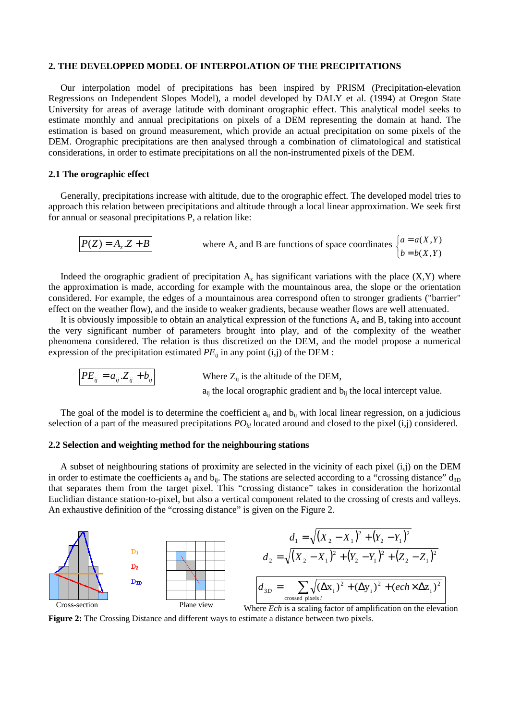#### **2. THE DEVELOPPED MODEL OF INTERPOLATION OF THE PRECIPITATIONS**

Our interpolation model of precipitations has been inspired by PRISM (Precipitation-elevation Regressions on Independent Slopes Model), a model developed by DALY et al. (1994) at Oregon State University for areas of average latitude with dominant orographic effect. This analytical model seeks to estimate monthly and annual precipitations on pixels of a DEM representing the domain at hand. The estimation is based on ground measurement, which provide an actual precipitation on some pixels of the DEM. Orographic precipitations are then analysed through a combination of climatological and statistical considerations, in order to estimate precipitations on all the non-instrumented pixels of the DEM.

### **2.1 The orographic effect**

Generally, precipitations increase with altitude, due to the orographic effect. The developed model tries to approach this relation between precipitations and altitude through a local linear approximation. We seek first for annual or seasonal precipitations P, a relation like:

$$
P(Z) = A_z.Z + B
$$
 where A<sub>z</sub> and B are functions of space coordinates  $\begin{cases} a = a(X,Y) \\ b = b(X,Y) \end{cases}$ 

Indeed the orographic gradient of precipitation  $A_z$  has significant variations with the place  $(X,Y)$  where the approximation is made, according for example with the mountainous area, the slope or the orientation considered. For example, the edges of a mountainous area correspond often to stronger gradients ("barrier" effect on the weather flow), and the inside to weaker gradients, because weather flows are well attenuated.

It is obviously impossible to obtain an analytical expression of the functions  $A<sub>z</sub>$  and B, taking into account the very significant number of parameters brought into play, and of the complexity of the weather phenomena considered. The relation is thus discretized on the DEM, and the model propose a numerical expression of the precipitation estimated  $PE_{ii}$  in any point (i,j) of the DEM :

$$
PE_{ij} = a_{ij} . Z_{ij} + b_{ij}
$$
 Where  $Z_{ij}$  is the altitude of the DEM,  
a<sub>ij</sub> the local orographic gradient and b<sub>ij</sub> the local intercept value

The goal of the model is to determine the coefficient  $a_{ij}$  and  $b_{ij}$  with local linear regression, on a judicious selection of a part of the measured precipitations  $PO_k$  located around and closed to the pixel (i,j) considered.

#### **2.2 Selection and weighting method for the neighbouring stations**

A subset of neighbouring stations of proximity are selected in the vicinity of each pixel (i,j) on the DEM in order to estimate the coefficients  $a_{ij}$  and  $b_{ij}$ . The stations are selected according to a "crossing distance"  $d_{3D}$ that separates them from the target pixel. This "crossing distance" takes in consideration the horizontal Euclidian distance station-to-pixel, but also a vertical component related to the crossing of crests and valleys. An exhaustive definition of the "crossing distance" is given on the Figure 2.



**Figure 2:** The Crossing Distance and different ways to estimate a distance between two pixels.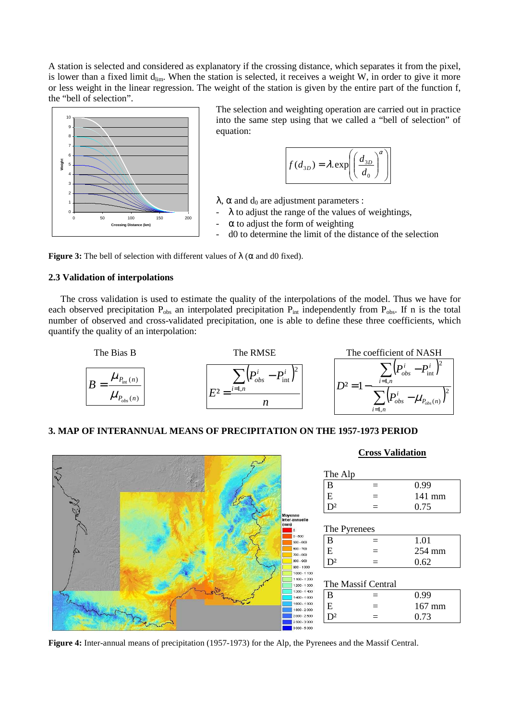A station is selected and considered as explanatory if the crossing distance, which separates it from the pixel, is lower than a fixed limit  $d_{\text{lim}}$ . When the station is selected, it receives a weight W, in order to give it more or less weight in the linear regression. The weight of the station is given by the entire part of the function f, the "bell of selection".



The selection and weighting operation are carried out in practice into the same step using that we called a "bell of selection" of equation:



 $\lambda$ ,  $\alpha$  and  $d_0$  are adjustment parameters :

- $\lambda$  to adjust the range of the values of weightings,
- $\alpha$  to adjust the form of weighting
- d0 to determine the limit of the distance of the selection

**Figure 3:** The bell of selection with different values of  $\lambda$  ( $\alpha$  and d0 fixed).

# **2.3 Validation of interpolations**

The cross validation is used to estimate the quality of the interpolations of the model. Thus we have for each observed precipitation  $P_{obs}$  an interpolated precipitation  $P_{int}$  independently from  $P_{obs}$ . If n is the total number of observed and cross-validated precipitation, one is able to define these three coefficients, which quantify the quality of an interpolation:



## **3. MAP OF INTERANNUAL MEANS OF PRECIPITATION ON THE 1957-1973 PERIOD**



**Figure 4:** Inter-annual means of precipitation (1957-1973) for the Alp, the Pyrenees and the Massif Central.

# **Cross Validation**